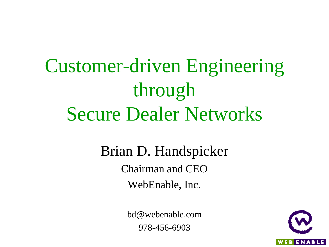Customer-driven Engineering through Secure Dealer Networks

> Brian D. Handspicker Chairman and CEO WebEnable, Inc.

> > bd@webenable.com 978-456-6903

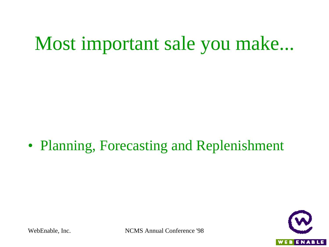• Planning, Forecasting and Replenishment

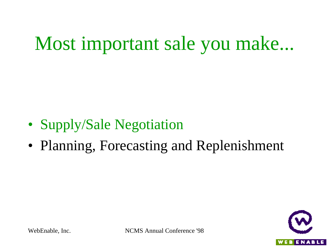- Supply/Sale Negotiation
- Planning, Forecasting and Replenishment

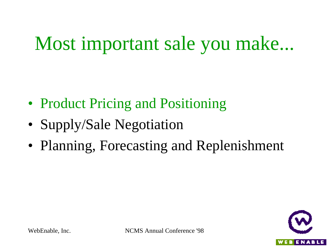- Product Pricing and Positioning
- Supply/Sale Negotiation
- Planning, Forecasting and Replenishment

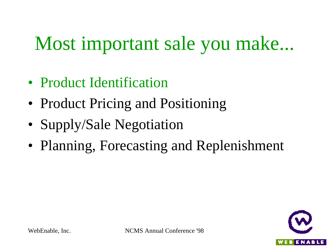- Product Identification
- Product Pricing and Positioning
- Supply/Sale Negotiation
- Planning, Forecasting and Replenishment

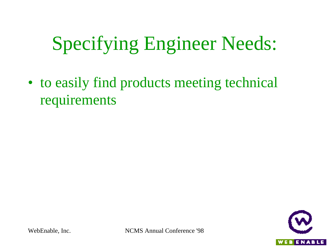• to easily find products meeting technical requirements

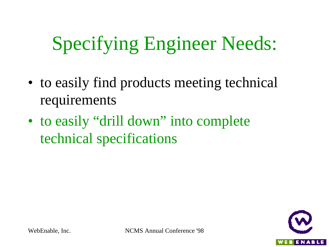- to easily find products meeting technical requirements
- to easily "drill down" into complete technical specifications

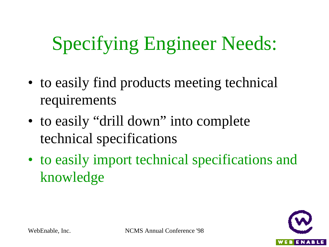- to easily find products meeting technical requirements
- to easily "drill down" into complete technical specifications
- to easily import technical specifications and knowledge

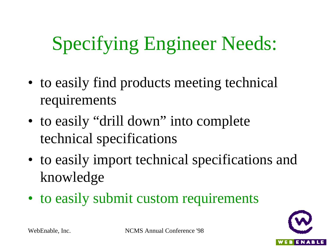- to easily find products meeting technical requirements
- to easily "drill down" into complete technical specifications
- to easily import technical specifications and knowledge
- to easily submit custom requirements

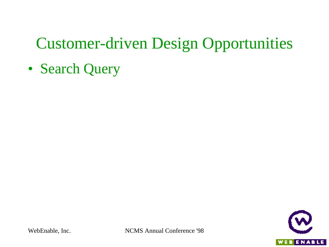• Search Query

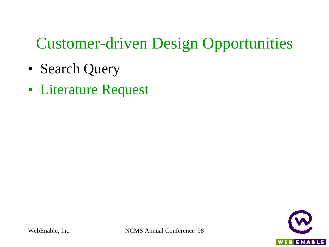- Search Query
- Literature Request

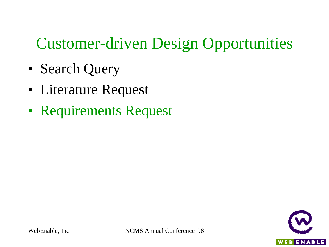- Search Query
- Literature Request
- Requirements Request

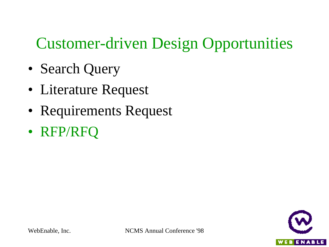- Search Query
- Literature Request
- Requirements Request
- RFP/RFQ

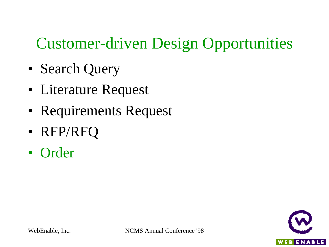- Search Query
- Literature Request
- Requirements Request
- RFP/RFQ
- Order

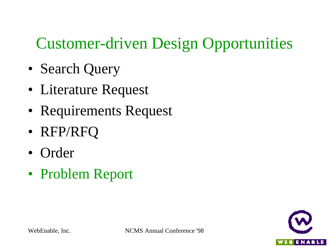- Search Query
- Literature Request
- Requirements Request
- RFP/RFQ
- Order
- Problem Report

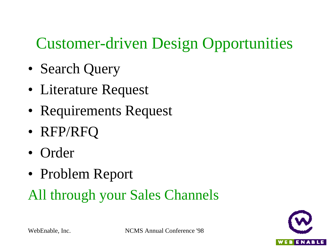- Search Query
- Literature Request
- Requirements Request
- RFP/RFQ
- Order
- Problem Report

#### All through your Sales Channels

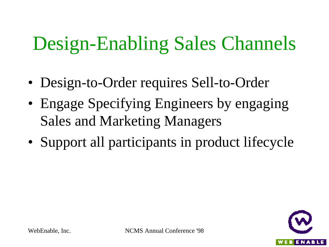## Design-Enabling Sales Channels

- Design-to-Order requires Sell-to-Order
- Engage Specifying Engineers by engaging Sales and Marketing Managers
- Support all participants in product lifecycle

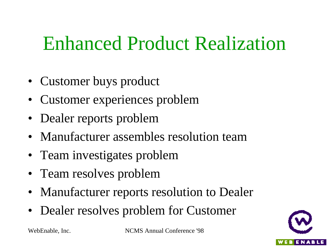### Enhanced Product Realization

- Customer buys product
- Customer experiences problem
- Dealer reports problem
- Manufacturer assembles resolution team
- Team investigates problem
- Team resolves problem
- Manufacturer reports resolution to Dealer
- Dealer resolves problem for Customer

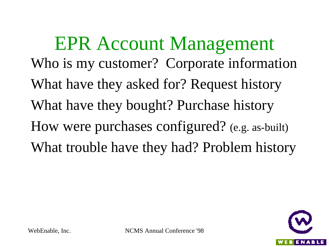EPR Account Management Who is my customer? Corporate information What have they asked for? Request history What have they bought? Purchase history How were purchases configured? (e.g. as-built) What trouble have they had? Problem history

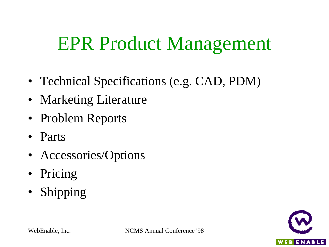### EPR Product Management

- Technical Specifications (e.g. CAD, PDM)
- Marketing Literature
- Problem Reports
- Parts
- Accessories/Options
- Pricing
- Shipping

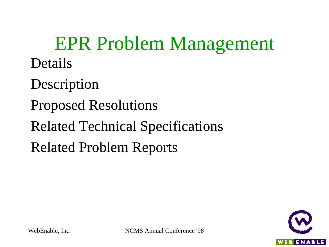EPR Problem Management Details

**Description** 

Proposed Resolutions

Related Technical Specifications

Related Problem Reports

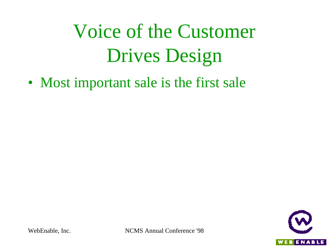• Most important sale is the first sale

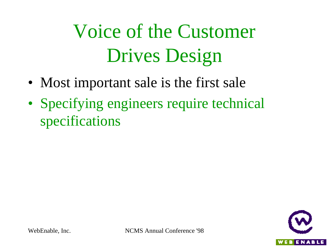- Most important sale is the first sale
- Specifying engineers require technical specifications

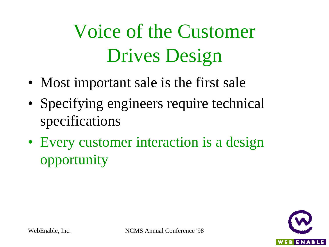- Most important sale is the first sale
- Specifying engineers require technical specifications
- Every customer interaction is a design opportunity